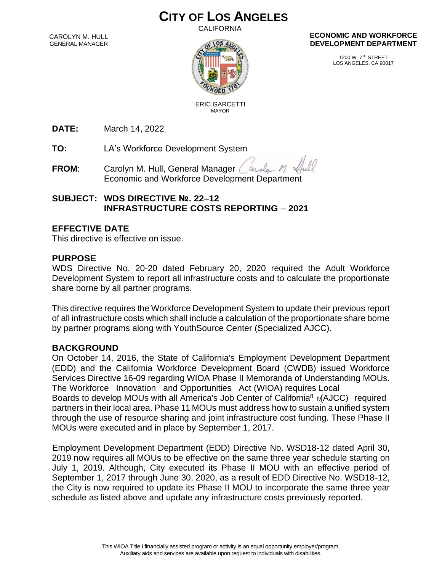# **CITY OF LOS ANGELES**

CALIFORNIA

CAROLYN M. HULL GENERAL MANAGER



#### **ECONOMIC AND WORKFORCE DEVELOPMENT DEPARTMENT**

1200 W. 7TH STREET LOS ANGELES, CA 90017

 ERIC GARCETTI MAYOR

**DATE:** March 14, 2022

**TO:** LA's Workforce Development System

**FROM:** Carolyn M. Hull, General Manager ( arola Economic and Workforce Development Department

## **SUBJECT: WDS DIRECTIVE №. 22–12 INFRASTRUCTURE COSTS REPORTING** – **2021**

#### **EFFECTIVE DATE**

This directive is effective on issue.

#### **PURPOSE**

WDS Directive No. 20-20 dated February 20, 2020 required the Adult Workforce Development System to report all infrastructure costs and to calculate the proportionate share borne by all partner programs.

This directive requires the Workforce Development System to update their previous report of all infrastructure costs which shall include a calculation of the proportionate share borne by partner programs along with YouthSource Center (Specialized AJCC).

#### **BACKGROUND**

Boards to develop MOUs with all America's Job Center of California<sup>8</sup> MAJCC) required On October 14, 2016, the State of California's Employment Development Department (EDD) and the California Workforce Development Board (CWDB) issued Workforce Services Directive 16-09 regarding WIOA Phase II Memoranda of Understanding MOUs. The Workforce Innovation and Opportunities Act (WIOA) requires Local partners in their local area. Phase 11 MOUs must address how to sustain a unified system through the use of resource sharing and joint infrastructure cost funding. These Phase II MOUs were executed and in place by September 1, 2017.

Employment Development Department (EDD) Directive No. WSD18-12 dated April 30, 2019 now requires all MOUs to be effective on the same three year schedule starting on July 1, 2019. Although, City executed its Phase II MOU with an effective period of September 1, 2017 through June 30, 2020, as a result of EDD Directive No. WSD18-12, the City is now required to update its Phase II MOU to incorporate the same three year schedule as listed above and update any infrastructure costs previously reported.